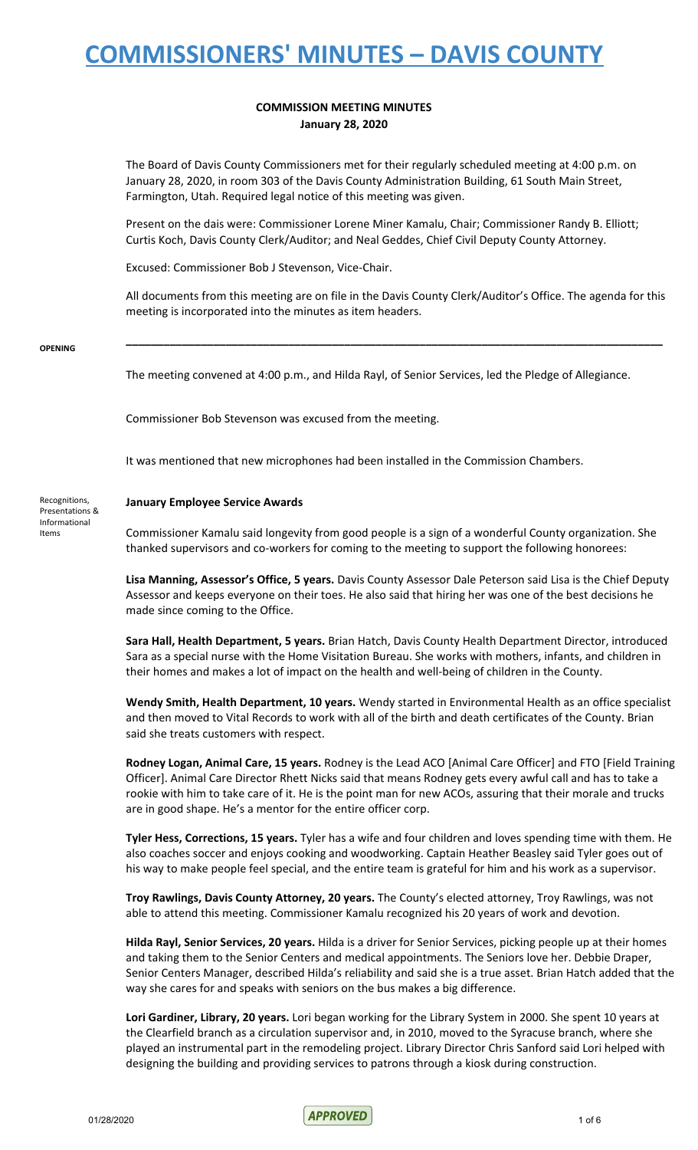#### **COMMISSION MEETING MINUTES January 28, 2020**

The Board of Davis County Commissioners met for their regularly scheduled meeting at 4:00 p.m. on January 28, 2020, in room 303 of the Davis County Administration Building, 61 South Main Street, Farmington, Utah. Required legal notice of this meeting was given.

Present on the dais were: Commissioner Lorene Miner Kamalu, Chair; Commissioner Randy B. Elliott; Curtis Koch, Davis County Clerk/Auditor; and Neal Geddes, Chief Civil Deputy County Attorney.

Excused: Commissioner Bob J Stevenson, Vice-Chair.

All documents from this meeting are on file in the Davis County Clerk/Auditor's Office. The agenda for this meeting is incorporated into the minutes as item headers.

**\_\_\_\_\_\_\_\_\_\_\_\_\_\_\_\_\_\_\_\_\_\_\_\_\_\_\_\_\_\_\_\_\_\_\_\_\_\_\_\_\_\_\_\_\_\_\_\_\_\_\_\_\_\_\_\_\_\_\_\_\_\_\_\_\_\_\_\_\_\_\_\_\_\_\_\_\_\_\_\_\_\_\_\_\_\_**

**OPENING**

Informational Items

The meeting convened at 4:00 p.m., and Hilda Rayl, of Senior Services, led the Pledge of Allegiance.

Commissioner Bob Stevenson was excused from the meeting.

It was mentioned that new microphones had been installed in the Commission Chambers.

#### Recognitions, Presentations & **January Employee Service Awards**

Commissioner Kamalu said longevity from good people is a sign of a wonderful County organization. She thanked supervisors and co-workers for coming to the meeting to support the following honorees:

**Lisa Manning, Assessor's Office, 5 years.** Davis County Assessor Dale Peterson said Lisa is the Chief Deputy Assessor and keeps everyone on their toes. He also said that hiring her was one of the best decisions he made since coming to the Office.

**Sara Hall, Health Department, 5 years.** Brian Hatch, Davis County Health Department Director, introduced Sara as a special nurse with the Home Visitation Bureau. She works with mothers, infants, and children in their homes and makes a lot of impact on the health and well-being of children in the County.

**Wendy Smith, Health Department, 10 years.** Wendy started in Environmental Health as an office specialist and then moved to Vital Records to work with all of the birth and death certificates of the County. Brian said she treats customers with respect.

**Rodney Logan, Animal Care, 15 years.** Rodney is the Lead ACO [Animal Care Officer] and FTO [Field Training Officer]. Animal Care Director Rhett Nicks said that means Rodney gets every awful call and has to take a rookie with him to take care of it. He is the point man for new ACOs, assuring that their morale and trucks are in good shape. He's a mentor for the entire officer corp.

**Tyler Hess, Corrections, 15 years.** Tyler has a wife and four children and loves spending time with them. He also coaches soccer and enjoys cooking and woodworking. Captain Heather Beasley said Tyler goes out of his way to make people feel special, and the entire team is grateful for him and his work as a supervisor.

**Troy Rawlings, Davis County Attorney, 20 years.** The County's elected attorney, Troy Rawlings, was not able to attend this meeting. Commissioner Kamalu recognized his 20 years of work and devotion.

**Hilda Rayl, Senior Services, 20 years.** Hilda is a driver for Senior Services, picking people up at their homes and taking them to the Senior Centers and medical appointments. The Seniors love her. Debbie Draper, Senior Centers Manager, described Hilda's reliability and said she is a true asset. Brian Hatch added that the way she cares for and speaks with seniors on the bus makes a big difference.

**Lori Gardiner, Library, 20 years.** Lori began working for the Library System in 2000. She spent 10 years at the Clearfield branch as a circulation supervisor and, in 2010, moved to the Syracuse branch, where she played an instrumental part in the remodeling project. Library Director Chris Sanford said Lori helped with designing the building and providing services to patrons through a kiosk during construction.

 $01/28/2020$  1 of 6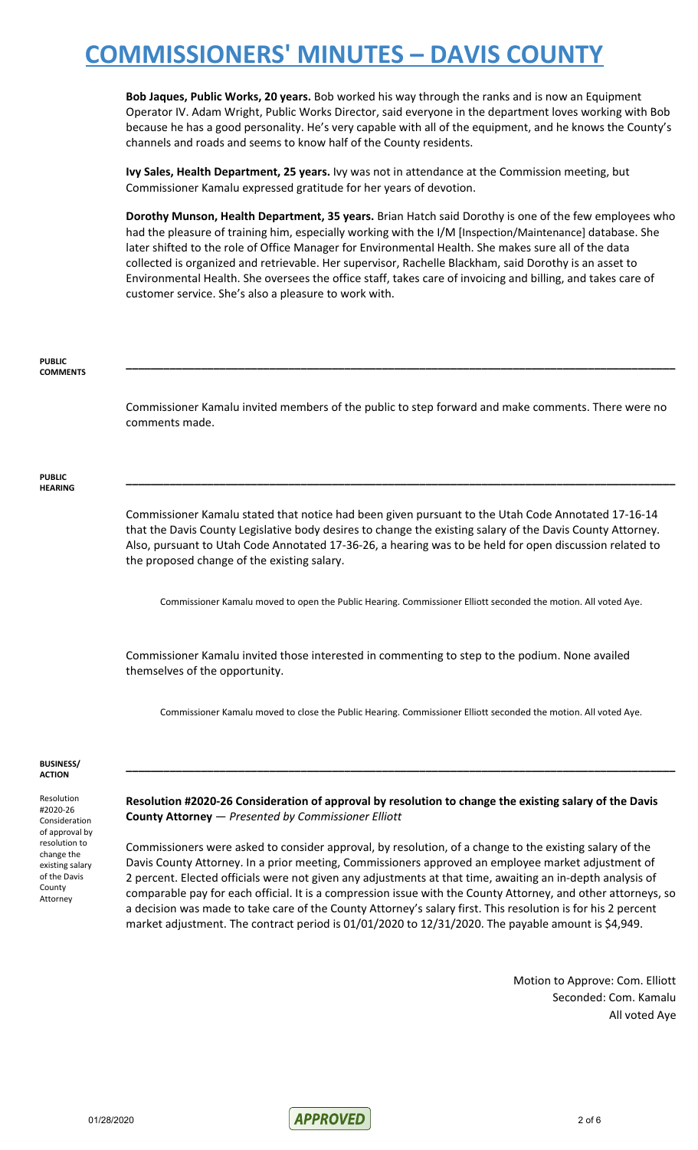**Bob Jaques, Public Works, 20 years.** Bob worked his way through the ranks and is now an Equipment Operator IV. Adam Wright, Public Works Director, said everyone in the department loves working with Bob because he has a good personality. He's very capable with all of the equipment, and he knows the County's channels and roads and seems to know half of the County residents.

**Ivy Sales, Health Department, 25 years.** Ivy was not in attendance at the Commission meeting, but Commissioner Kamalu expressed gratitude for her years of devotion.

**Dorothy Munson, Health Department, 35 years.** Brian Hatch said Dorothy is one of the few employees who had the pleasure of training him, especially working with the I/M [Inspection/Maintenance] database. She later shifted to the role of Office Manager for Environmental Health. She makes sure all of the data collected is organized and retrievable. Her supervisor, Rachelle Blackham, said Dorothy is an asset to Environmental Health. She oversees the office staff, takes care of invoicing and billing, and takes care of customer service. She's also a pleasure to work with.

#### **PUBLIC COMMENTS**

Commissioner Kamalu invited members of the public to step forward and make comments. There were no comments made.

**\_\_\_\_\_\_\_\_\_\_\_\_\_\_\_\_\_\_\_\_\_\_\_\_\_\_\_\_\_\_\_\_\_\_\_\_\_\_\_\_\_\_\_\_\_\_\_\_\_\_\_\_\_\_\_\_\_\_\_\_\_\_\_\_\_\_\_\_\_\_\_\_\_\_\_\_\_\_\_\_\_\_\_\_\_\_\_\_**

**\_\_\_\_\_\_\_\_\_\_\_\_\_\_\_\_\_\_\_\_\_\_\_\_\_\_\_\_\_\_\_\_\_\_\_\_\_\_\_\_\_\_\_\_\_\_\_\_\_\_\_\_\_\_\_\_\_\_\_\_\_\_\_\_\_\_\_\_\_\_\_\_\_\_\_\_\_\_\_\_\_\_\_\_\_\_\_\_**

**PUBLIC HEARING**

> Commissioner Kamalu stated that notice had been given pursuant to the Utah Code Annotated 17-16-14 that the Davis County Legislative body desires to change the existing salary of the Davis County Attorney. Also, pursuant to Utah Code Annotated 17-36-26, a hearing was to be held for open discussion related to the proposed change of the existing salary.

Commissioner Kamalu moved to open the Public Hearing. Commissioner Elliott seconded the motion. All voted Aye.

Commissioner Kamalu invited those interested in commenting to step to the podium. None availed themselves of the opportunity.

Commissioner Kamalu moved to close the Public Hearing. Commissioner Elliott seconded the motion. All voted Aye.

**\_\_\_\_\_\_\_\_\_\_\_\_\_\_\_\_\_\_\_\_\_\_\_\_\_\_\_\_\_\_\_\_\_\_\_\_\_\_\_\_\_\_\_\_\_\_\_\_\_\_\_\_\_\_\_\_\_\_\_\_\_\_\_\_\_\_\_\_\_\_\_\_\_\_\_\_\_\_\_\_\_\_\_\_\_\_\_\_**

#### **BUSINESS/ ACTION**

Resolution #2020-26 Consideration of approval by resolution to change the existing salary of the Davis County Attorney

**Resolution #2020-26 Consideration of approval by resolution to change the existing salary of the Davis County Attorney** — *Presented by Commissioner Elliott*

Commissioners were asked to consider approval, by resolution, of a change to the existing salary of the Davis County Attorney. In a prior meeting, Commissioners approved an employee market adjustment of 2 percent. Elected officials were not given any adjustments at that time, awaiting an in-depth analysis of comparable pay for each official. It is a compression issue with the County Attorney, and other attorneys, so a decision was made to take care of the County Attorney's salary first. This resolution is for his 2 percent market adjustment. The contract period is 01/01/2020 to 12/31/2020. The payable amount is \$4,949.

> Motion to Approve: Com. Elliott Seconded: Com. Kamalu All voted Aye

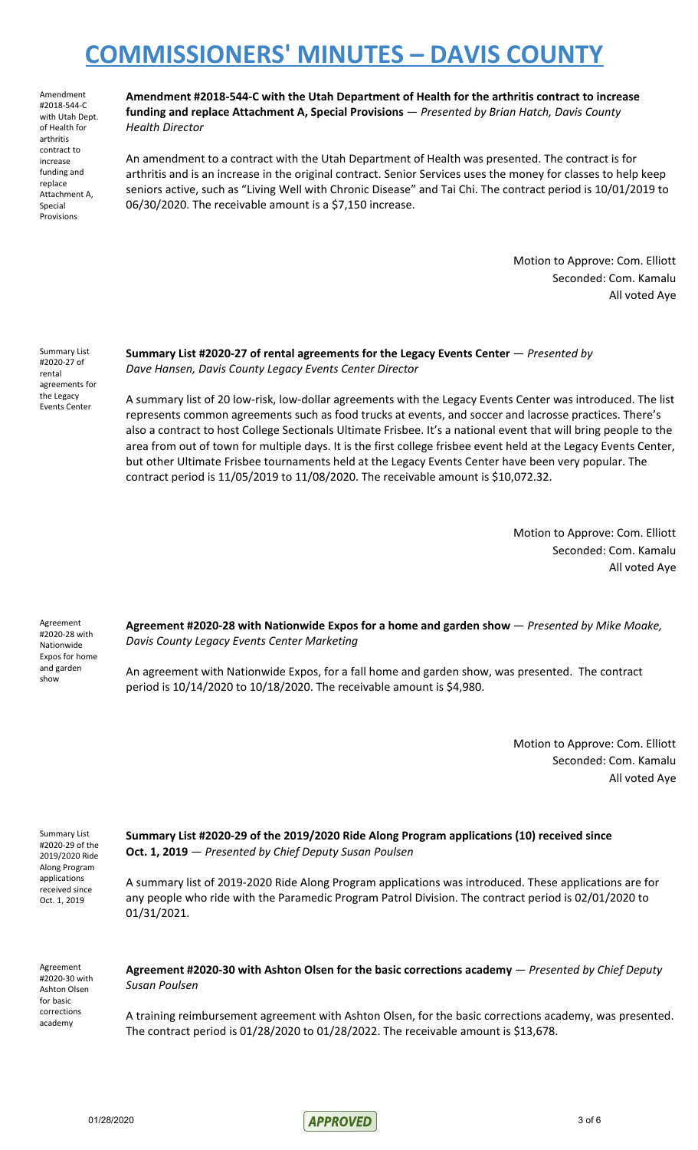Amendment #2018-544-C with Utah Dept. of Health for arthritis contract to increase funding and replace Attachment A, Special Provisions

**Amendment #2018-544-C with the Utah Department of Health for the arthritis contract to increase funding and replace Attachment A, Special Provisions** — *Presented by Brian Hatch, Davis County Health Director*

An amendment to a contract with the Utah Department of Health was presented. The contract is for arthritis and is an increase in the original contract. Senior Services uses the money for classes to help keep seniors active, such as "Living Well with Chronic Disease" and Tai Chi. The contract period is 10/01/2019 to 06/30/2020. The receivable amount is a \$7,150 increase.

> Motion to Approve: Com. Elliott Seconded: Com. Kamalu All voted Aye

Summary List #2020-27 of rental agreements for the Legacy Events Center

**Summary List #2020-27 of rental agreements for the Legacy Events Center** — *Presented by Dave Hansen, Davis County Legacy Events Center Director*

A summary list of 20 low-risk, low-dollar agreements with the Legacy Events Center was introduced. The list represents common agreements such as food trucks at events, and soccer and lacrosse practices. There's also a contract to host College Sectionals Ultimate Frisbee. It's a national event that will bring people to the area from out of town for multiple days. It is the first college frisbee event held at the Legacy Events Center, but other Ultimate Frisbee tournaments held at the Legacy Events Center have been very popular. The contract period is 11/05/2019 to 11/08/2020. The receivable amount is \$10,072.32.

> Motion to Approve: Com. Elliott Seconded: Com. Kamalu All voted Aye

Agreement #2020-28 with Nationwide Expos for home and garden show

**Agreement #2020-28 with Nationwide Expos for a home and garden show** — *Presented by Mike Moake, Davis County Legacy Events Center Marketing*

An agreement with Nationwide Expos, for a fall home and garden show, was presented. The contract period is 10/14/2020 to 10/18/2020. The receivable amount is \$4,980.

> Motion to Approve: Com. Elliott Seconded: Com. Kamalu All voted Aye

Summary List #2020-29 of the 2019/2020 Ride Along Program applications received since Oct. 1, 2019

**Summary List #2020-29 of the 2019/2020 Ride Along Program applications (10) received since Oct. 1, 2019** — *Presented by Chief Deputy Susan Poulsen*

A summary list of 2019-2020 Ride Along Program applications was introduced. These applications are for any people who ride with the Paramedic Program Patrol Division. The contract period is 02/01/2020 to 01/31/2021.

Agreement #2020-30 with Ashton Olsen for basic corrections academy

**Agreement #2020-30 with Ashton Olsen for the basic corrections academy** — *Presented by Chief Deputy Susan Poulsen*

A training reimbursement agreement with Ashton Olsen, for the basic corrections academy, was presented. The contract period is 01/28/2020 to 01/28/2022. The receivable amount is \$13,678.

01/28/2020 3 of 6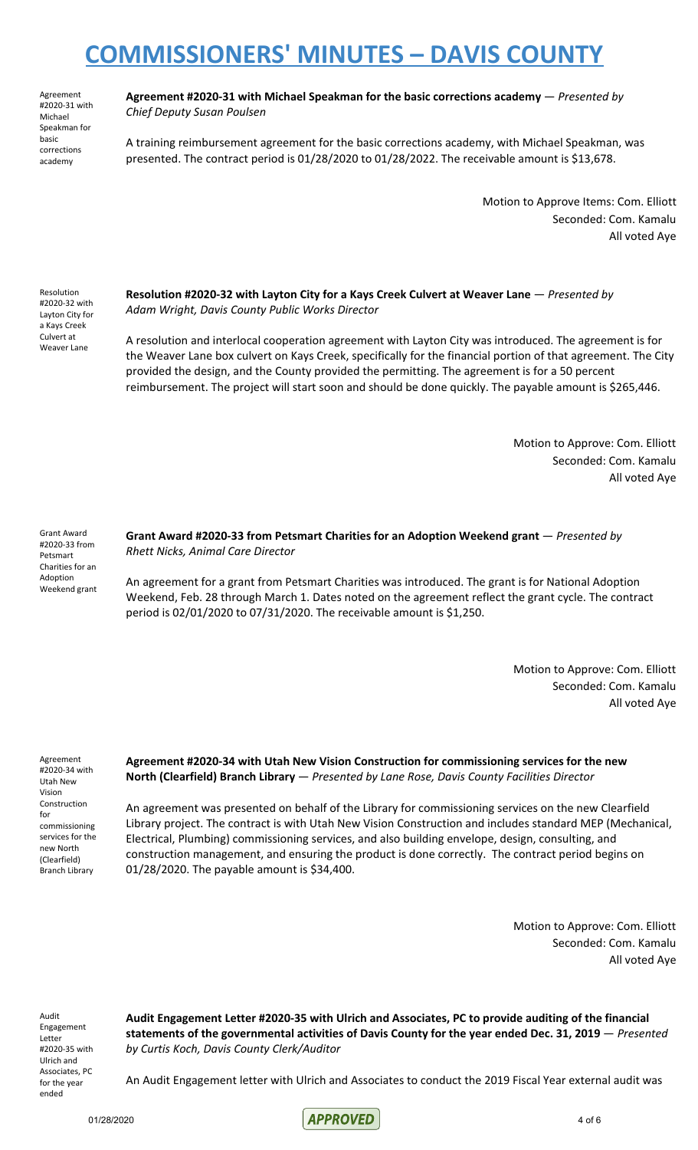Agreement #2020-31 with Michael Speakman for basic corrections academy

#### **Agreement #2020-31 with Michael Speakman for the basic corrections academy** — *Presented by Chief Deputy Susan Poulsen*

A training reimbursement agreement for the basic corrections academy, with Michael Speakman, was presented. The contract period is 01/28/2020 to 01/28/2022. The receivable amount is \$13,678.

> Motion to Approve Items: Com. Elliott Seconded: Com. Kamalu All voted Aye

Resolution #2020-32 with Layton City for a Kays Creek Culvert at Weaver Lane

**Resolution #2020-32 with Layton City for a Kays Creek Culvert at Weaver Lane** — *Presented by Adam Wright, Davis County Public Works Director*

A resolution and interlocal cooperation agreement with Layton City was introduced. The agreement is for the Weaver Lane box culvert on Kays Creek, specifically for the financial portion of that agreement. The City provided the design, and the County provided the permitting. The agreement is for a 50 percent reimbursement. The project will start soon and should be done quickly. The payable amount is \$265,446.

> Motion to Approve: Com. Elliott Seconded: Com. Kamalu All voted Aye

Grant Award #2020-33 from Petsmart Charities for an Adoption Weekend grant

**Grant Award #2020-33 from Petsmart Charities for an Adoption Weekend grant** — *Presented by Rhett Nicks, Animal Care Director*

An agreement for a grant from Petsmart Charities was introduced. The grant is for National Adoption Weekend, Feb. 28 through March 1. Dates noted on the agreement reflect the grant cycle. The contract period is 02/01/2020 to 07/31/2020. The receivable amount is \$1,250.

> Motion to Approve: Com. Elliott Seconded: Com. Kamalu All voted Aye

Agreement #2020-34 with Utah New Vision Construction for commissioning services for the new North (Clearfield) Branch Library

**Agreement #2020-34 with Utah New Vision Construction for commissioning services for the new North (Clearfield) Branch Library** — *Presented by Lane Rose, Davis County Facilities Director*

An agreement was presented on behalf of the Library for commissioning services on the new Clearfield Library project. The contract is with Utah New Vision Construction and includes standard MEP (Mechanical, Electrical, Plumbing) commissioning services, and also building envelope, design, consulting, and construction management, and ensuring the product is done correctly. The contract period begins on 01/28/2020. The payable amount is \$34,400.

> Motion to Approve: Com. Elliott Seconded: Com. Kamalu All voted Aye

Audit Engagement Letter #2020-35 with Ulrich and Associates, PC for the year ended

**Audit Engagement Letter #2020-35 with Ulrich and Associates, PC to provide auditing of the financial statements of the governmental activities of Davis County for the year ended Dec. 31, 2019** — *Presented by Curtis Koch, Davis County Clerk/Auditor*

An Audit Engagement letter with Ulrich and Associates to conduct the 2019 Fiscal Year external audit was

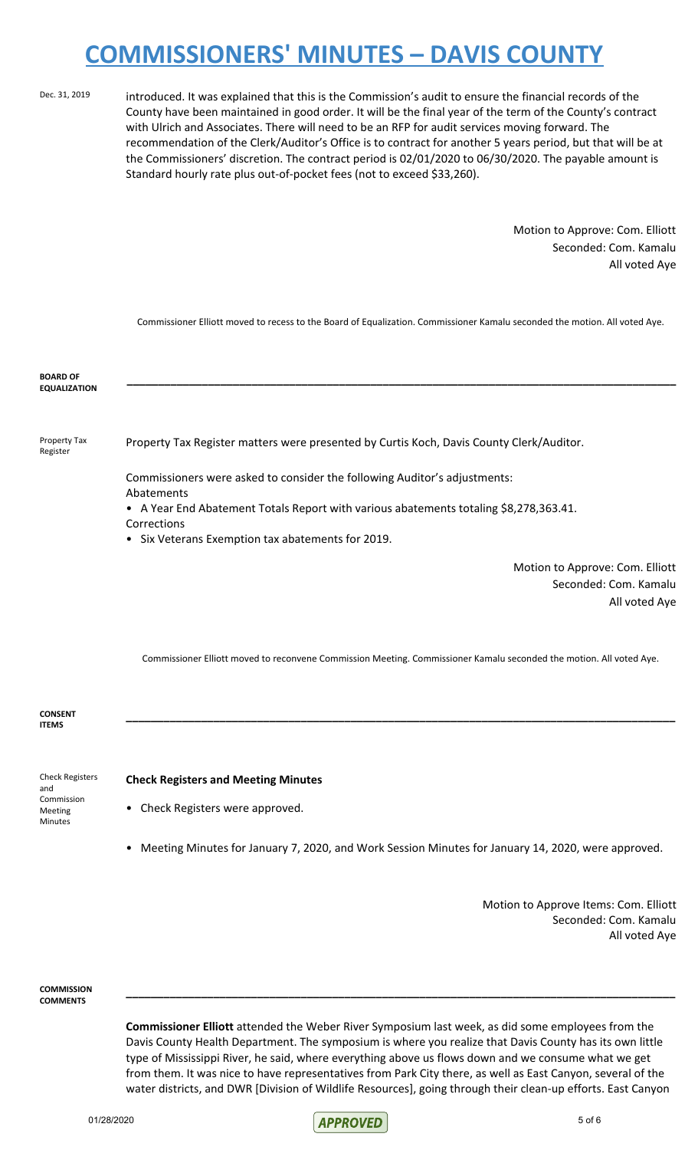Dec. 31, 2019 introduced. It was explained that this is the Commission's audit to ensure the financial records of the County have been maintained in good order. It will be the final year of the term of the County's contract with Ulrich and Associates. There will need to be an RFP for audit services moving forward. The recommendation of the Clerk/Auditor's Office is to contract for another 5 years period, but that will be at the Commissioners' discretion. The contract period is 02/01/2020 to 06/30/2020. The payable amount is Standard hourly rate plus out-of-pocket fees (not to exceed \$33,260).

> Motion to Approve: Com. Elliott Seconded: Com. Kamalu All voted Aye

Commissioner Elliott moved to recess to the Board of Equalization. Commissioner Kamalu seconded the motion. All voted Aye.

**\_\_\_\_\_\_\_\_\_\_\_\_\_\_\_\_\_\_\_\_\_\_\_\_\_\_\_\_\_\_\_\_\_\_\_\_\_\_\_\_\_\_\_\_\_\_\_\_\_\_\_\_\_\_\_\_\_\_\_\_\_\_\_\_\_\_\_\_\_\_\_\_\_\_\_\_\_\_\_\_\_\_\_\_\_\_\_\_**

**BOARD OF EQUALIZATION**

Property Tax Register

Property Tax Register matters were presented by Curtis Koch, Davis County Clerk/Auditor.

Commissioners were asked to consider the following Auditor's adjustments:

Abatements

• A Year End Abatement Totals Report with various abatements totaling \$8,278,363.41.

Corrections

• Six Veterans Exemption tax abatements for 2019.

Motion to Approve: Com. Elliott Seconded: Com. Kamalu All voted Aye

Commissioner Elliott moved to reconvene Commission Meeting. Commissioner Kamalu seconded the motion. All voted Aye.

**\_\_\_\_\_\_\_\_\_\_\_\_\_\_\_\_\_\_\_\_\_\_\_\_\_\_\_\_\_\_\_\_\_\_\_\_\_\_\_\_\_\_\_\_\_\_\_\_\_\_\_\_\_\_\_\_\_\_\_\_\_\_\_\_\_\_\_\_\_\_\_\_\_\_\_\_\_\_\_\_\_\_\_\_\_\_\_\_**

**CONSENT ITEMS**

**Check Registers and Meeting Minutes**

Check Registers and Commission Meeting Minutes

Check Registers were approved.

• Meeting Minutes for January 7, 2020, and Work Session Minutes for January 14, 2020, were approved.

Motion to Approve Items: Com. Elliott Seconded: Com. Kamalu All voted Aye

**COMMISSION COMMENTS**

> **Commissioner Elliott** attended the Weber River Symposium last week, as did some employees from the Davis County Health Department. The symposium is where you realize that Davis County has its own little type of Mississippi River, he said, where everything above us flows down and we consume what we get from them. It was nice to have representatives from Park City there, as well as East Canyon, several of the water districts, and DWR [Division of Wildlife Resources], going through their clean-up efforts. East Canyon

**\_\_\_\_\_\_\_\_\_\_\_\_\_\_\_\_\_\_\_\_\_\_\_\_\_\_\_\_\_\_\_\_\_\_\_\_\_\_\_\_\_\_\_\_\_\_\_\_\_\_\_\_\_\_\_\_\_\_\_\_\_\_\_\_\_\_\_\_\_\_\_\_\_\_\_\_\_\_\_\_\_\_\_\_\_\_\_\_**

 $O(1/28/2020)$  5 of 6